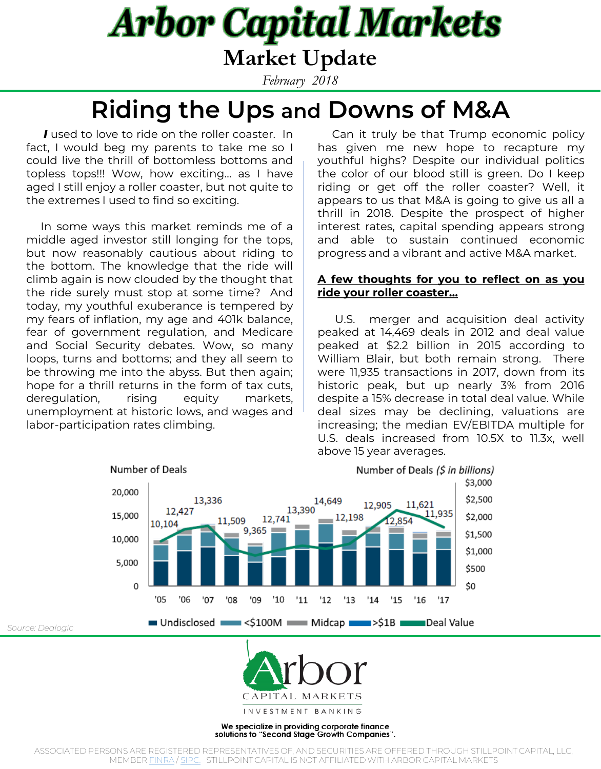**Market Update**

*February 2018*

**Riding the Ups and Downs of M&A**

*I* used to love to ride on the roller coaster. In fact, I would beg my parents to take me so I could live the thrill of bottomless bottoms and topless tops!!! Wow, how exciting… as I have aged I still enjoy a roller coaster, but not quite to the extremes I used to find so exciting.

In some ways this market reminds me of a middle aged investor still longing for the tops, but now reasonably cautious about riding to the bottom. The knowledge that the ride will climb again is now clouded by the thought that the ride surely must stop at some time? And today, my youthful exuberance is tempered by my fears of inflation, my age and 401k balance, fear of government regulation, and Medicare and Social Security debates. Wow, so many loops, turns and bottoms; and they all seem to be throwing me into the abyss. But then again; hope for a thrill returns in the form of tax cuts, deregulation, rising equity markets, unemployment at historic lows, and wages and labor-participation rates climbing.

*Source: Dealogic*

Can it truly be that Trump economic policy has given me new hope to recapture my youthful highs? Despite our individual politics the color of our blood still is green. Do I keep riding or get off the roller coaster? Well, it appears to us that M&A is going to give us all a thrill in 2018. Despite the prospect of higher interest rates, capital spending appears strong and able to sustain continued economic progress and a vibrant and active M&A market.

### **A few thoughts for you to reflect on as you ride your roller coaster…**

U.S. merger and acquisition deal activity peaked at 14,469 deals in 2012 and deal value peaked at \$2.2 billion in 2015 according to William Blair, but both remain strong. There were 11,935 transactions in 2017, down from its historic peak, but up nearly 3% from 2016 despite a 15% decrease in total deal value. While deal sizes may be declining, valuations are increasing; the median EV/EBITDA multiple for U.S. deals increased from 10.5X to 11.3x, well above 15 year averages.





INVESTMENT BANKING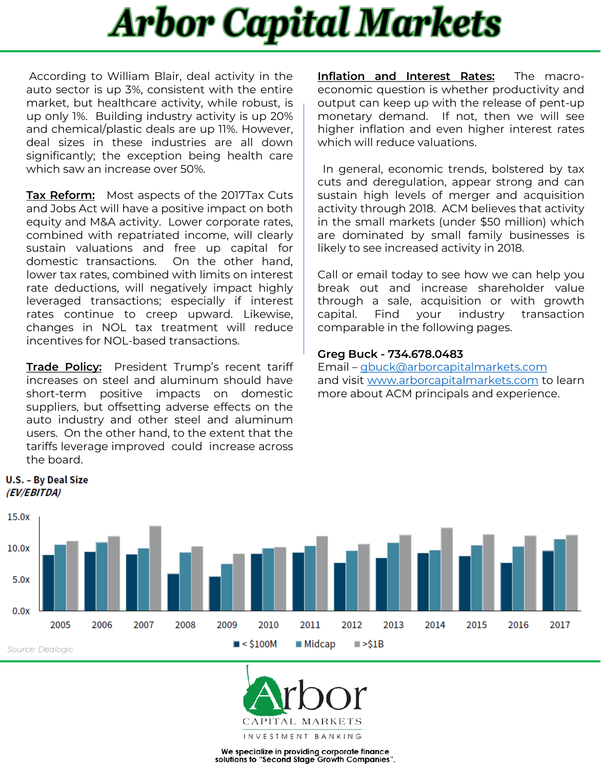According to William Blair, deal activity in the auto sector is up 3%, consistent with the entire market, but healthcare activity, while robust, is up only 1%. Building industry activity is up 20% and chemical/plastic deals are up 11%. However, deal sizes in these industries are all down significantly; the exception being health care which saw an increase over 50%.

**Tax Reform:** Most aspects of the 2017Tax Cuts and Jobs Act will have a positive impact on both equity and M&A activity. Lower corporate rates, combined with repatriated income, will clearly sustain valuations and free up capital for domestic transactions. On the other hand, lower tax rates, combined with limits on interest rate deductions, will negatively impact highly leveraged transactions; especially if interest rates continue to creep upward. Likewise, changes in NOL tax treatment will reduce incentives for NOL-based transactions.

**Trade Policy:** President Trump's recent tariff increases on steel and aluminum should have short-term positive impacts on domestic suppliers, but offsetting adverse effects on the auto industry and other steel and aluminum users. On the other hand, to the extent that the tariffs leverage improved could increase across the board.

**U.S. - By Deal Size** (EV/EBITDA)

**Inflation and Interest Rates:** The macroeconomic question is whether productivity and output can keep up with the release of pent-up monetary demand. If not, then we will see higher inflation and even higher interest rates which will reduce valuations.

In general, economic trends, bolstered by tax cuts and deregulation, appear strong and can sustain high levels of merger and acquisition activity through 2018. ACM believes that activity in the small markets (under \$50 million) which are dominated by small family businesses is likely to see increased activity in 2018.

Call or email today to see how we can help you break out and increase shareholder value through a sale, acquisition or with growth capital. Find your industry transaction comparable in the following pages.

### **Greg Buck - 734.678.0483**

Email – [gbuck@arborcapitalmarkets.com](mailto:gbuck@arborcapitalmarkets.com) and visit [www.arborcapitalmarkets.com](http://www.arborcapitalmarkets.com/) to learn more about ACM principals and experience.



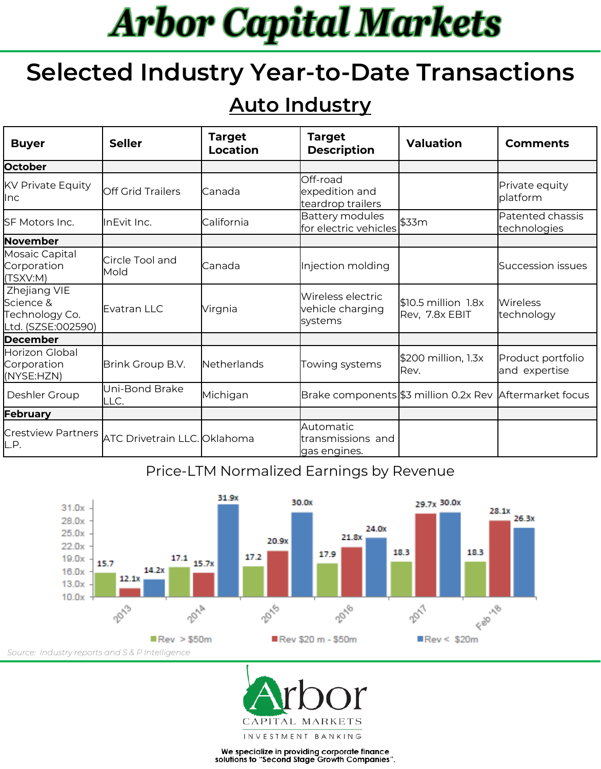## **Selected Industry Year-to-Date Transactions**

## **Auto Industry**

| <b>Buyer</b>                                                       | <b>Seller</b>                                          | <b>Target</b><br>Location | <b>Target</b><br><b>Description</b>                     | <b>Valuation</b>                         | <b>Comments</b>                    |
|--------------------------------------------------------------------|--------------------------------------------------------|---------------------------|---------------------------------------------------------|------------------------------------------|------------------------------------|
| October                                                            |                                                        |                           |                                                         |                                          |                                    |
| <b>KV Private Equity</b><br>llnc.                                  | Off Grid Trailers                                      | Canada                    | Off-road<br>expedition and<br>teardrop trailers         |                                          | Private equity<br>platform         |
| SF Motors Inc.                                                     | lInEvit Inc.                                           | California                | Battery modules<br>for electric vehicles                | \$33m                                    | Patented chassis<br>technologies   |
| November                                                           |                                                        |                           |                                                         |                                          |                                    |
| Mosaic Capital<br>Corporation<br>(TSXV:M)                          | Circle Tool and<br>Mold                                | Canada                    | Injection molding                                       |                                          | Succession issues                  |
| Zhejiang VIE<br>lScience &<br>Technology Co.<br>Ltd. (SZSE:002590) | Evatran LLC                                            | Virgnia                   | Wireless electric<br>vehicle charging<br>systems        | $$10.5$ million $1.8x$<br>Rev, 7.8x EBIT | <b>Wireless</b><br>technology      |
| <b>December</b>                                                    |                                                        |                           |                                                         |                                          |                                    |
| Horizon Global<br>Corporation<br>(NYSE:HZN)                        | Brink Group B.V.                                       | <b>Netherlands</b>        | Towing systems                                          | \$200 million, 1.3x<br>IRev.             | Product portfolio<br>and expertise |
| Deshler Group                                                      | Uni-Bond Brake<br>LLC.                                 | Michigan                  | Brake components \$3 million 0.2x Rev Aftermarket focus |                                          |                                    |
| February                                                           |                                                        |                           |                                                         |                                          |                                    |
| L.P.                                                               | Crestview Partners <i>ATC Drivetrain LLC. Oklahoma</i> |                           | <b>Automatic</b><br>ltransmissions and<br>gas engines.  |                                          |                                    |

### Price-LTM Normalized Earnings by Revenue



*Source: Industry reports and S & P Intelligence*

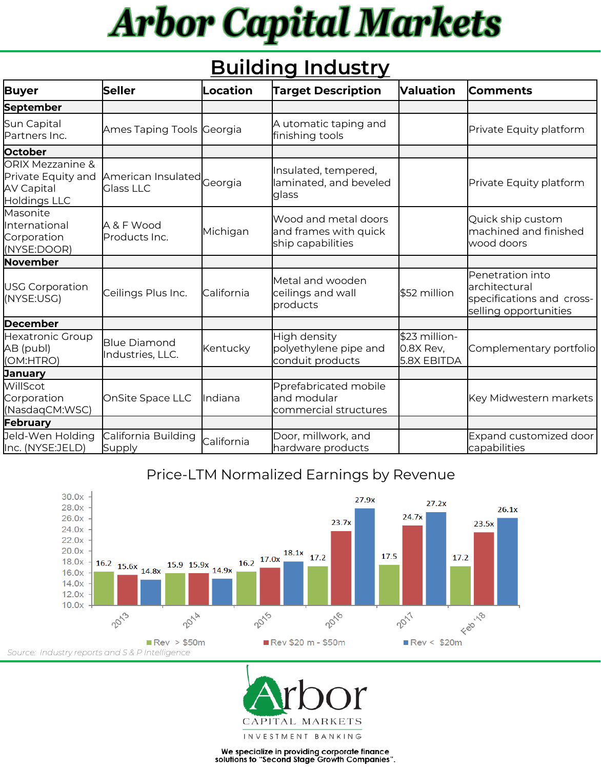## **Building Industry**

| <b>Buyer</b>                                                         | <b>Seller</b>                                  | Location   | <b>Target Description</b>                                          | <b>Valuation</b>                            | <b>Comments</b>                                                                          |
|----------------------------------------------------------------------|------------------------------------------------|------------|--------------------------------------------------------------------|---------------------------------------------|------------------------------------------------------------------------------------------|
| September                                                            |                                                |            |                                                                    |                                             |                                                                                          |
| Sun Capital<br>Partners Inc.                                         | Ames Taping Tools Georgia                      |            | A utomatic taping and<br>finishing tools                           |                                             | Private Equity platform                                                                  |
| October                                                              |                                                |            |                                                                    |                                             |                                                                                          |
| ORIX Mezzanine &<br>Private Equity and<br>AV Capital<br>Holdings LLC | American Insulated Georgia<br><b>Glass LLC</b> |            | Insulated, tempered,<br>laminated, and beveled<br>glass            |                                             | Private Equity platform                                                                  |
| Masonite<br>International<br>Corporation<br>(NYSE:DOOR)              | A & F Wood<br>Products Inc.                    | Michigan   | Wood and metal doors<br>and frames with quick<br>ship capabilities |                                             | Quick ship custom<br>machined and finished<br>wood doors                                 |
| November                                                             |                                                |            |                                                                    |                                             |                                                                                          |
| USG Corporation<br>(NYSE:USG)                                        | Ceilings Plus Inc.                             | California | Metal and wooden<br>ceilings and wall<br>products                  | \$52 million                                | Penetration into<br>larchitectural<br>specifications and cross-<br>selling opportunities |
| <b>December</b>                                                      |                                                |            |                                                                    |                                             |                                                                                          |
| Hexatronic Group<br>AB (publ)<br>(OM:HTRO)                           | <b>Blue Diamond</b><br>Industries, LLC.        | Kentucky   | High density<br>polyethylene pipe and<br>conduit products          | \$23 million-<br>$0.8X$ Rev,<br>5.8X EBITDA | Complementary portfolio                                                                  |
| <b>January</b>                                                       |                                                |            |                                                                    |                                             |                                                                                          |
| WillScot<br>Corporation<br>(NasdaqCM:WSC)                            | OnSite Space LLC                               | Indiana    | Pprefabricated mobile<br>and modular<br>commercial structures      |                                             | Key Midwestern markets                                                                   |
| February                                                             |                                                |            |                                                                    |                                             |                                                                                          |
| Jeld-Wen Holding<br>Inc. (NYSE:JELD)                                 | California Building<br><b>Supply</b>           | California | Door, millwork, and<br>hardware products                           |                                             | Expand customized door<br>capabilities                                                   |

### Price-LTM Normalized Earnings by Revenue



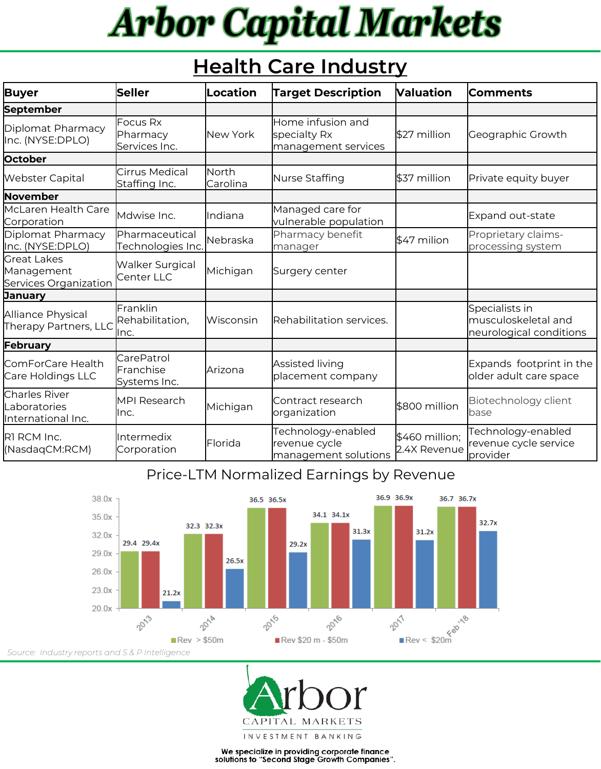## **Health Care Industry**

| Buyer                                                       | Seller                                         | Location          | <b>Target Description</b>                                   | <b>Naluation</b>                | <b>Comments</b>                                                  |
|-------------------------------------------------------------|------------------------------------------------|-------------------|-------------------------------------------------------------|---------------------------------|------------------------------------------------------------------|
| <b>September</b>                                            |                                                |                   |                                                             |                                 |                                                                  |
| Diplomat Pharmacy<br>Inc. (NYSE:DPLO)                       | <b>Focus Rx</b><br>Pharmacy<br>Services Inc.   | New York          | Home infusion and<br>specialty Rx<br>management services    | \$27 million                    | Geographic Growth                                                |
| October                                                     |                                                |                   |                                                             |                                 |                                                                  |
| <b>Webster Capital</b>                                      | Cirrus Medical<br>Staffing Inc.                | North<br>Carolina | Nurse Staffing                                              | \$37 million                    | Private equity buyer                                             |
| November                                                    |                                                |                   |                                                             |                                 |                                                                  |
| McLaren Health Care<br>Corporation                          | Mdwise Inc.                                    | Indiana           | Managed care for<br>vulnerable population                   |                                 | Expand out-state                                                 |
| Diplomat Pharmacy<br>Inc. (NYSE:DPLO)                       | Pharmaceutical<br>Technologies Inc.            | Nebraska          | Pharmacy benefit<br>manager                                 | \$47 milion                     | Proprietary claims-<br>processing system                         |
| <b>l</b> Great Lakes<br>Management<br>Services Organization | <b>Walker Surgical</b><br>Center LLC           | Michigan          | Surgery center                                              |                                 |                                                                  |
| <b>January</b>                                              |                                                |                   |                                                             |                                 |                                                                  |
| Alliance Physical<br>Therapy Partners, LLC                  | Franklin<br>Rehabilitation,<br>llnc.           | Wisconsin         | Rehabilitation services.                                    |                                 | Specialists in<br>musculoskeletal and<br>neurological conditions |
| February                                                    |                                                |                   |                                                             |                                 |                                                                  |
| ComForCare Health<br>Care Holdings LLC                      | <b>CarePatrol</b><br>Franchise<br>Systems Inc. | Arizona           | Assisted living<br>placement company                        |                                 | Expands footprint in the<br>older adult care space               |
| <b>Charles River</b><br>Laboratories<br>International Inc.  | <b>I</b> MPI Research<br>llnc.                 | Michigan          | Contract research<br>organization                           | \$800 million                   | Biotechnology client<br>base                                     |
| RI RCM Inc.<br>(NasdagCM:RCM)                               | <b>I</b> Intermedix<br>Corporation             | Florida           | Technology-enabled<br>revenue cycle<br>management solutions | $$460$ million;<br>2.4X Revenue | Technology-enabled<br>revenue cycle service<br>provider          |

### Price-LTM Normalized Earnings by Revenue



*Source: Industry reports and S & P Intelligence*